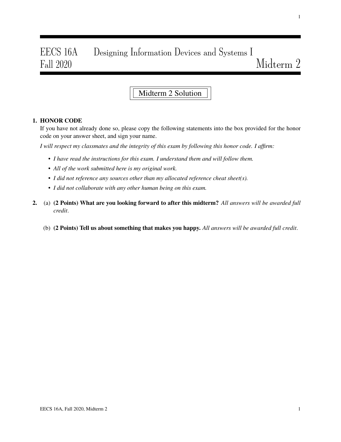# EECS 16A Designing Information Devices and Systems I Fall 2020 Midterm 2

## Midterm 2 Solution

#### 1. HONOR CODE

If you have not already done so, please copy the following statements into the box provided for the honor code on your answer sheet, and sign your name.

*I will respect my classmates and the integrity of this exam by following this honor code. I affirm:*

- *I have read the instructions for this exam. I understand them and will follow them.*
- *All of the work submitted here is my original work.*
- *I did not reference any sources other than my allocated reference cheat sheet(s).*
- *I did not collaborate with any other human being on this exam.*
- 2. (a) (2 Points) What are you looking forward to after this midterm? *All answers will be awarded full credit*.
	- (b) (2 Points) Tell us about something that makes you happy. *All answers will be awarded full credit*.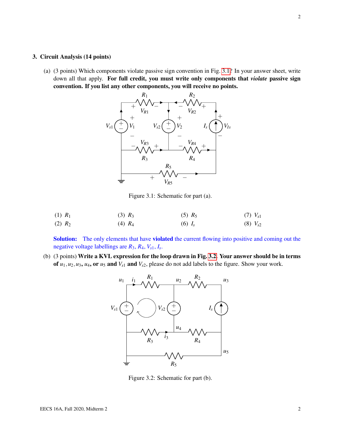#### 3. Circuit Analysis (14 points)

<span id="page-1-0"></span>(a) (3 points) Which components violate passive sign convention in Fig. [3.1?](#page-1-0) In your answer sheet, write down all that apply. For full credit, you must write only components that *violate* passive sign convention. If you list any other components, you will receive no points.



Figure 3.1: Schematic for part (a).

(1) 
$$
R_1
$$
 (3)  $R_3$  (5)  $R_5$  (7)  $V_{s1}$   
(2)  $R_2$  (4)  $R_4$  (6)  $I_s$  (8)  $V_{s2}$ 

Solution: The only elements that have violated the current flowing into positive and coming out the negative voltage labellings are *R*3, *R*4, *Vs*1, *I<sup>s</sup>* .

<span id="page-1-1"></span>(b) (3 points) Write a KVL expression for the loop drawn in Fig. [3.2.](#page-1-1) Your answer should be in terms of  $u_1, u_2, u_3, u_4$ , or  $u_5$  and  $V_{s1}$  and  $V_{s2}$ , please do not add labels to the figure. Show your work.



Figure 3.2: Schematic for part (b).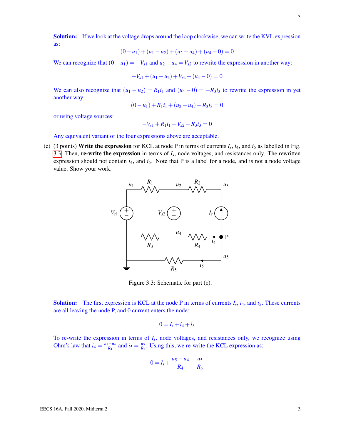Solution: If we look at the voltage drops around the loop clockwise, we can write the KVL expression as:

$$
(0 - u1) + (u1 - u2) + (u2 - u4) + (u4 - 0) = 0
$$

We can recognize that  $(0 – u_1) = -V_{s1}$  and  $u_2 – u_4 = V_{s2}$  to rewrite the expression in another way:

$$
-V_{s1} + (u_1 - u_2) + V_{s2} + (u_4 - 0) = 0
$$

We can also recognize that  $(u_1 - u_2) = R_1 i_1$  and  $(u_4 - 0) = -R_3 i_3$  to rewrite the expression in yet another way:

$$
(0 - u1) + R1i1 + (u2 - u4) - R3i3 = 0
$$

or using voltage sources:

$$
-V_{s1} + R_1 i_1 + V_{s2} - R_3 i_3 = 0
$$

Any equivalent variant of the four expressions above are acceptable.

<span id="page-2-0"></span>(c) (3 points) Write the expression for KCL at node P in terms of currents  $I_s$ ,  $i_4$ , and  $i_5$  as labelled in Fig. [3.3.](#page-2-0) Then, **re-write the expression** in terms of  $I_s$ , node voltages, and resistances only. The rewritten expression should not contain  $i_4$ , and  $i_5$ . Note that P is a label for a node, and is not a node voltage value. Show your work.



Figure 3.3: Schematic for part (c).

**Solution:** The first expression is KCL at the node P in terms of currents  $I_s$ ,  $i_4$ , and  $i_5$ . These currents are all leaving the node P, and 0 current enters the node:

$$
0=I_s+i_4+i_5
$$

To re-write the expression in terms of *I<sup>s</sup>* , node voltages, and resistances only, we recognize using Ohm's law that  $i_4 = \frac{u_5 - u_4}{R_4}$  $\frac{i}{R_4}$  and  $i_5 = \frac{u_5}{R_5}$  $\frac{u_5}{R_5}$ . Using this, we re-write the KCL expression as:

$$
0 = I_s + \frac{u_5 - u_4}{R_4} + \frac{u_5}{R_5}
$$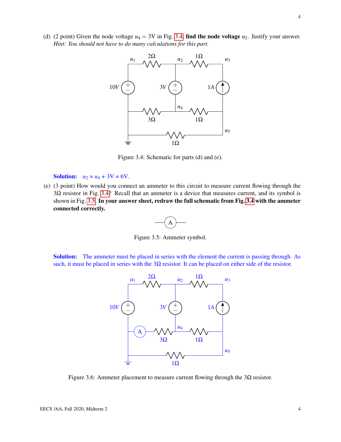<span id="page-3-0"></span>(d) (2 point) Given the node voltage  $u_4 = 3V$  in Fig. [3.4,](#page-3-0) find the node voltage  $u_2$ . Justify your answer. *Hint: You should not have to do many calculations for this part.*



Figure 3.4: Schematic for parts (d) and (e).

**Solution:**  $u_2 = u_4 + 3V = 6V$ .

<span id="page-3-1"></span>(e) (3 point) How would you connect an ammeter to this circuit to measure current flowing through the 3Ω resistor in Fig. [3.4?](#page-3-0) Recall that an ammeter is a device that measures current, and its symbol is shown in Fig. [3.5.](#page-3-1) In your answer sheet, redraw the full schematic from Fig. [3.4](#page-3-0) with the ammeter connected correctly.

$$
\overbrace{\phantom{aaaaa}}^{A}
$$

Figure 3.5: Ammeter symbol.

Solution: The ammeter must be placed in series with the element the current is passing through. As such, it must be placed in series with the  $3\Omega$  resistor. It can be placed on either side of the resistor.



Figure 3.6: Ammeter placement to measure current flowing through the  $3\Omega$  resistor.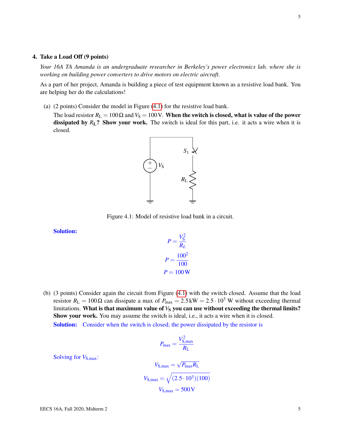#### 4. Take a Load Off (9 points)

*Your 16A TA Amanda is an undergraduate researcher in Berkeley's power electronics lab, where she is working on building power converters to drive motors on electric aircraft.*

As a part of her project, Amanda is building a piece of test equipment known as a resistive load bank. You are helping her do the calculations!

(a) (2 points) Consider the model in Figure [\(4.1\)](#page-4-0) for the resistive load bank.

<span id="page-4-0"></span>The load resistor  $R_L = 100 \Omega$  and  $V_S = 100 V$ . When the switch is closed, what is value of the power dissipated by  $R_L$ ? Show your work. The switch is ideal for this part, i.e. it acts a wire when it is closed.



Figure 4.1: Model of resistive load bank in a circuit.

Solution:

$$
P = \frac{V_S^2}{R_L}
$$

$$
P = \frac{100^2}{100}
$$

$$
P = 100 \,\mathrm{W}
$$

(b) (3 points) Consider again the circuit from Figure [\(4.1\)](#page-4-0) with the switch closed. Assume that the load resistor  $R_L = 100 \Omega$  can dissipate a max of  $P_{\text{max}} = 2.5 \text{ kW} = 2.5 \cdot 10^3 \text{ W}$  without exceeding thermal limitations. What is that maximum value of  $V<sub>S</sub>$  you can use without exceeding the thermal limits? Show your work. You may assume the switch is ideal, i.e., it acts a wire when it is closed. Solution: Consider when the switch is closed; the power dissipated by the resistor is

$$
P_{\text{max}} = \frac{V_{\text{S,max}}^2}{R_{\text{L}}}
$$

Solving for  $V_{S,max}$ :

$$
V_{\text{S,max}} = \sqrt{P_{\text{max}} R_{\text{L}}}
$$

$$
V_{\text{S,max}} = \sqrt{(2.5 \cdot 10^3)(100)}
$$

$$
V_{\text{S,max}} = 500 \,\text{V}
$$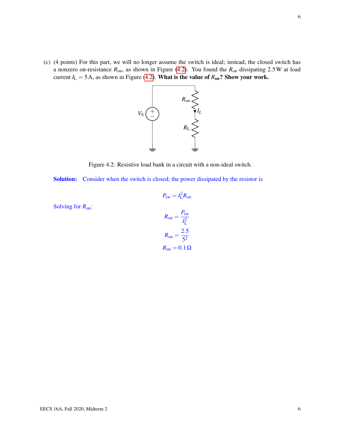<span id="page-5-0"></span>(c) (4 points) For this part, we will no longer assume the switch is ideal; instead, the closed switch has a nonzero on-resistance *R*on, as shown in Figure [\(4.2\)](#page-5-0). You found the *R*on dissipating 2.5W at load current  $I_L = 5$  A, as shown in Figure [\(4.2\)](#page-5-0). What is the value of  $R_{on}$ ? Show your work.



Figure 4.2: Resistive load bank in a circuit with a non-ideal switch.

Solution: Consider when the switch is closed; the power dissipated by the resistor is

Solving for *R*on:

$$
R_{\text{on}} = \frac{P_{\text{sw}}}{I_{\text{L}}^2}
$$

$$
R_{\text{on}} = \frac{2.5}{5^2}
$$

$$
R_{\text{on}} = 0.1 \Omega
$$

$$
P_{\text{sw}} = I_{\text{L}}^2 R_{\text{on}}
$$

$$
R_{\text{on}} = \frac{P_{\text{sw}}}{I_{\text{L}}^2}
$$

$$
R_{\text{on}} = \frac{2.5}{5^2}
$$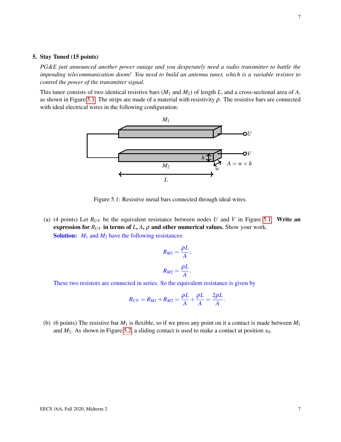#### 5. Stay Tuned (15 points)

*PG&E just announced another power outage and you desperately need a radio transmitter to battle the impending telecommunication doom! You need to build an antenna tuner, which is a variable resistor to control the power of the transmitter signal.*

<span id="page-6-0"></span>This tuner consists of two identical resistive bars (*M*<sup>1</sup> and *M*2) of length *L*, and a cross-sectional area of *A*, as shown in Figure [5.1.](#page-6-0) The strips are made of a material with resistivity  $\rho$ . The resistive bars are connected with ideal electrical wires in the following configuration:



Figure 5.1: Resistive metal bars connected through ideal wires.

(a) (4 points) Let  $R_{UV}$  be the equivalent resistance between nodes *U* and *V* in Figure [5.1.](#page-6-0) Write an expression for  $R_{UV}$  in terms of  $L$ ,  $A$ ,  $\rho$  and other numerical values. Show your work. Solution:  $M_1$  and  $M_2$  have the following resistances:

$$
R_{M1} = \frac{\rho L}{A};
$$
  

$$
R_{M2} = \frac{\rho L}{A}.
$$

These two resistors are connected in series. So the equivalent resistance is given by

$$
R_{UV} = R_{M1} + R_{M2} = \frac{\rho L}{A} + \frac{\rho L}{A} = \frac{2\rho L}{A}.
$$

(b) (6 points) The resistive bar  $M_1$  is flexible, so if we press any point on it a contact is made between  $M_1$ and  $M_2$ . As shown in Figure [5.2,](#page-7-0) a sliding contact is used to make a contact at position  $x_0$ .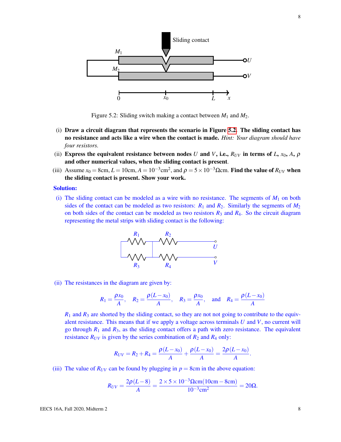<span id="page-7-0"></span>

Figure 5.2: Sliding switch making a contact between *M*<sup>1</sup> and *M*2.

- (i) Draw a circuit diagram that represents the scenario in Figure [5.2.](#page-7-0) The sliding contact has no resistance and acts like a wire when the contact is made. *Hint: Your diagram should have four resistors.*
- (ii) Express the equivalent resistance between nodes *U* and *V*, i.e.,  $R_{UV}$  in terms of *L*,  $x_0$ , *A*,  $\rho$ and other numerical values, when the sliding contact is present.
- (iii) Assume  $x_0 = 8$ cm,  $L = 10$ cm,  $A = 10^{-3}$ cm<sup>2</sup>, and  $\rho = 5 \times 10^{-3}$  Ωcm. Find the value of  $R_{UV}$  when the sliding contact is present. Show your work.

#### Solution:

(i) The sliding contact can be modeled as a wire with no resistance. The segments of  $M_1$  on both sides of the contact can be modeled as two resistors:  $R_1$  and  $R_2$ . Similarly the segments of  $M_2$ on both sides of the contact can be modeled as two resistors  $R_3$  and  $R_4$ . So the circuit diagram representing the metal strips with sliding contact is the following:



(ii) The resistances in the diagram are given by:

$$
R_1 = \frac{\rho x_0}{A}
$$
,  $R_2 = \frac{\rho (L - x_0)}{A}$ ,  $R_3 = \frac{\rho x_0}{A}$ , and  $R_4 = \frac{\rho (L - x_0)}{A}$ 

 $R_1$  and  $R_3$  are shorted by the sliding contact, so they are not not going to contribute to the equivalent resistance. This means that if we apply a voltage across terminals *U* and *V*, no current will go through *R*<sup>1</sup> and *R*3, as the sliding contact offers a path with zero resistance. The equivalent resistance  $R_{UV}$  is given by the series combination of  $R_2$  and  $R_4$  only:

$$
R_{UV} = R_2 + R_4 = \frac{\rho(L - x_0)}{A} + \frac{\rho(L - x_0)}{A} = \frac{2\rho(L - x_0)}{A}.
$$

(iii) The value of  $R_{UV}$  can be found by plugging in  $p = 8$ cm in the above equation:

$$
R_{UV} = \frac{2\rho(L-8)}{A} = \frac{2 \times 5 \times 10^{-3} \Omega \text{cm} (10 \text{cm} - 8 \text{cm})}{10^{-3} \text{cm}^2} = 20 \Omega.
$$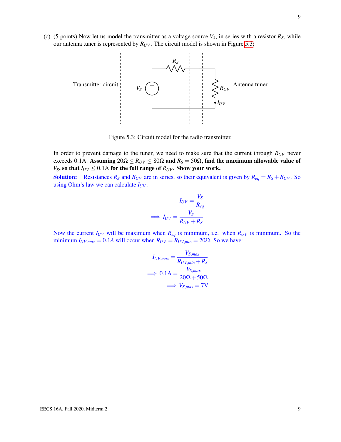<span id="page-8-0"></span>(c) (5 points) Now let us model the transmitter as a voltage source  $V_S$ , in series with a resistor  $R_S$ , while our antenna tuner is represented by  $R_{UV}$ . The circuit model is shown in Figure [5.3:](#page-8-0)



Figure 5.3: Circuit model for the radio transmitter.

In order to prevent damage to the tuner, we need to make sure that the current through *RUV* never exceeds 0.1A. Assuming  $20\Omega \le R_{UV} \le 80\Omega$  and  $R_S = 50\Omega$ , find the maximum allowable value of *V*<sub>S</sub>, so that  $I_{UV} \leq 0.1$ A for the full range of  $R_{UV}$ . Show your work.

**Solution:** Resistances  $R_S$  and  $R_{UV}$  are in series, so their equivalent is given by  $R_{eq} = R_S + R_{UV}$ . So using Ohm's law we can calculate  $I_{UV}$ :

$$
I_{UV} = \frac{V_S}{R_{eq}}
$$

$$
\implies I_{UV} = \frac{V_S}{R_{UV} + R_S}
$$

Now the current  $I_{UV}$  will be maximum when  $R_{eq}$  is minimum, i.e. when  $R_{UV}$  is minimum. So the minimum  $I_{UV,max} = 0.1A$  will occur when  $R_{UV} = R_{UV,min} = 20\Omega$ . So we have:

$$
I_{UV,max} = \frac{V_{S,max}}{R_{UV,min} + R_S}
$$
  
\n
$$
\implies 0.1 \text{A} = \frac{V_{S,max}}{20 \Omega + 50 \Omega}
$$
  
\n
$$
\implies V_{S,max} = 7 \text{V}
$$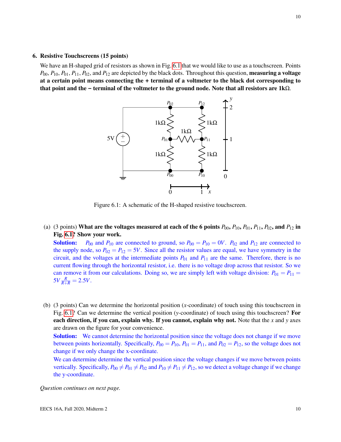#### 6. Resistive Touchscreens (15 points)

<span id="page-9-0"></span>We have an H-shaped grid of resistors as shown in Fig. [6.1](#page-9-0) that we would like to use as a touchscreen. Points *P*00, *P*10, *P*01, *P*11, *P*02, and *P*<sup>12</sup> are depicted by the black dots. Throughout this question, measuring a voltage at a certain point means connecting the **+** terminal of a voltmeter to the black dot corresponding to that point and the **-** terminal of the voltmeter to the ground node. Note that all resistors are 1kΩ.



Figure 6.1: A schematic of the H-shaped resistive touchscreen.

(a) (3 points) What are the voltages measured at each of the 6 points  $P_{00}$ ,  $P_{10}$ ,  $P_{01}$ ,  $P_{11}$ ,  $P_{02}$ , and  $P_{12}$  in Fig. [6.1?](#page-9-0) Show your work.

**Solution:**  $P_{00}$  and  $P_{10}$  are connected to ground, so  $P_{00} = P_{10} = 0V$ .  $P_{02}$  and  $P_{12}$  are connected to the supply node, so  $P_{02} = P_{12} = 5V$ . Since all the resistor values are equal, we have symmetry in the circuit, and the voltages at the intermediate points  $P_{01}$  and  $P_{11}$  are the same. Therefore, there is no current flowing through the horizontal resistor, i.e. there is no voltage drop across that resistor. So we can remove it from our calculations. Doing so, we are simply left with voltage division:  $P_{01} = P_{11}$  $5V\frac{R}{R+R} = 2.5V.$ 

(b) (3 points) Can we determine the horizontal position (*x*-coordinate) of touch using this touchscreen in Fig. [6.1?](#page-9-0) Can we determine the vertical position (*y*-coordinate) of touch using this touchscreen? For each direction, if you can, explain why. If you cannot, explain why not. Note that the *x* and *y* axes are drawn on the figure for your convenience.

**Solution:** We cannot determine the horizontal position since the voltage does not change if we move between points horizontally. Specifically,  $P_{00} = P_{10}$ ,  $P_{01} = P_{11}$ , and  $P_{02} = P_{12}$ , so the voltage does not change if we only change the x-coordinate.

We can determine determine the vertical position since the voltage changes if we move between points vertically. Specifically,  $P_{00} \neq P_{01} \neq P_{02}$  and  $P_{10} \neq P_{11} \neq P_{12}$ , so we detect a voltage change if we change the y-coordinate.

*Question continues on next page.*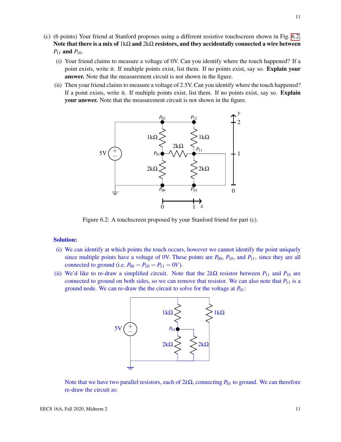- (c) (6 points) Your friend at Stanford proposes using a different resistive touchscreen shown in Fig. [6.2.](#page-10-0) Note that there is a mix of  $1k\Omega$  and  $2k\Omega$  resistors, and they accidentally connected a wire between  $P_{11}$  and  $P_{10}$ .
	- (i) Your friend claims to measure a voltage of 0V. Can you identify where the touch happened? If a point exists, write it. If multiple points exist, list them. If no points exist, say so. **Explain your** answer. Note that the measurement circuit is not shown in the figure.
	- (ii) Then your friend claims to measure a voltage of 2.5V. Can you identify where the touch happened? If a point exists, write it. If multiple points exist, list them. If no points exist, say so. **Explain** your answer. Note that the measurement circuit is not shown in the figure.

<span id="page-10-0"></span>

Figure 6.2: A touchscreen proposed by your Stanford friend for part (c).

#### Solution:

- (i) We can identify at which points the touch occurs, however we cannot identify the point uniquely since multiple points have a voltage of 0V. These points are  $P_{00}$ ,  $P_{10}$ , and  $P_{11}$ , since they are all connected to ground (i.e.  $P_{00} = P_{10} = P_{11} = 0V$ ).
- (ii) We'd like to re-draw a simplified circuit. Note that the  $2k\Omega$  resistor between  $P_{11}$  and  $P_{10}$  are connected to ground on both sides, so we can remove that resistor. We can also note that  $P_{11}$  is a ground node. We can re-draw the the circuit to solve for the voltage at  $P_{01}$ :



Note that we have two parallel resistors, each of 2kΩ, connecting  $P_{01}$  to ground. We can therefore re-draw the circuit as: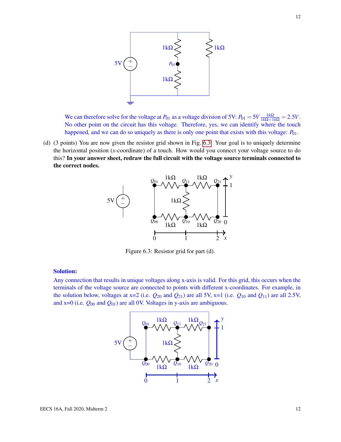

We can therefore solve for the voltage at  $P_{01}$  as a voltage division of 5V:  $P_{01} = 5V \frac{1k\Omega}{1k\Omega + 1k\Omega} = 2.5V$ . No other point on the circuit has this voltage. Therefore, yes, we can identify where the touch happened, and we can do so uniquely as there is only one point that exists with this voltage:  $P_{01}$ .

<span id="page-11-0"></span>(d) (3 points) You are now given the resistor grid shown in Fig. [6.3.](#page-11-0) Your goal is to uniquely determine the horizontal position (*x*-coordinate) of a touch. How would you connect your voltage source to do this? In your answer sheet, redraw the full circuit with the voltage source terminals connected to the correct nodes.



Figure 6.3: Resistor grid for part (d).

#### Solution:

Any connection that results in unique voltages along x-axis is valid. For this grid, this occurs when the terminals of the voltage source are connected to points with different x-coordinates. For example, in the solution below, voltages at  $x=2$  (i.e.  $Q_{20}$  and  $Q_{21}$ ) are all 5V,  $x=1$  (i.e.  $Q_{10}$  and  $Q_{11}$ ) are all 2.5V, and  $x=0$  (i.e.  $Q_{00}$  and  $Q_{01}$ ) are all 0V. Voltages in y-axis are ambiguous.

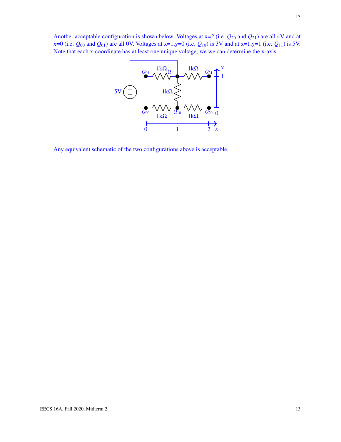

Any equivalent schematic of the two configurations above is acceptable.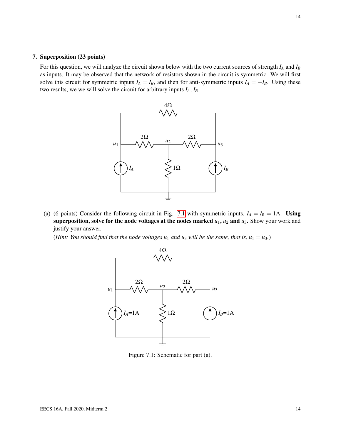#### 7. Superposition (23 points)

For this question, we will analyze the circuit shown below with the two current sources of strength *I<sup>A</sup>* and *I<sup>B</sup>* as inputs. It may be observed that the network of resistors shown in the circuit is symmetric. We will first solve this circuit for symmetric inputs  $I_A = I_B$ , and then for anti-symmetric inputs  $I_A = -I_B$ . Using these two results, we we will solve the circuit for arbitrary inputs *IA*, *IB*.



(a) (6 points) Consider the following circuit in Fig. [7.1](#page-13-0) with symmetric inputs,  $I_A = I_B = 1$ A. Using superposition, solve for the node voltages at the nodes marked  $u_1$ ,  $u_2$  and  $u_3$ . Show your work and justify your answer.

<span id="page-13-0"></span>*(Hint: You should find that the node voltages*  $u_1$  *and*  $u_3$  *will be the same, that is,*  $u_1 = u_3$ *.)* 



Figure 7.1: Schematic for part (a).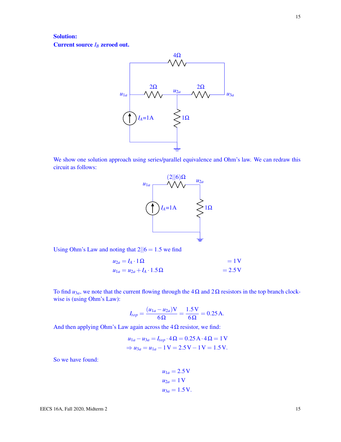### Solution: Current source *I<sub>B</sub>* zeroed out.



We show one solution approach using series/parallel equivalence and Ohm's law. We can redraw this circuit as follows:



Using Ohm's Law and noting that  $2||6 = 1.5$  we find

$$
u_{2a} = I_A \cdot 1\Omega = 1 \text{ V}
$$
  

$$
u_{1a} = u_{2a} + I_A \cdot 1.5\Omega = 2.5 \text{ V}
$$

To find  $u_{3a}$ , we note that the current flowing through the  $4\Omega$  and  $2\Omega$  resistors in the top branch clockwise is (using Ohm's Law):

$$
I_{top} = \frac{(u_{1a} - u_{2a})V}{6\Omega} = \frac{1.5V}{6\Omega} = 0.25 A.
$$

And then applying Ohm's Law again across the  $4\Omega$  resistor, we find:

$$
u_{1a} - u_{3a} = I_{top} \cdot 4\Omega = 0.25 \text{ A} \cdot 4\Omega = 1 \text{ V}
$$
  
\n
$$
\Rightarrow u_{3a} = u_{1a} - 1 \text{ V} = 2.5 \text{ V} - 1 \text{ V} = 1.5 \text{ V}.
$$

So we have found:

$$
u_{1a} = 2.5 \text{ V}
$$
  

$$
u_{2a} = 1 \text{ V}
$$
  

$$
u_{3a} = 1.5 \text{ V}.
$$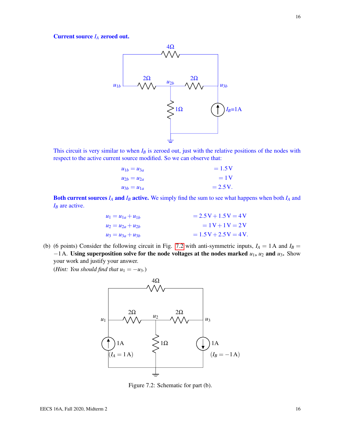Current source *I<sup>A</sup>* zeroed out.



This circuit is very similar to when  $I_B$  is zeroed out, just with the relative positions of the nodes with respect to the active current source modified. So we can observe that:

| $u_{1b} = u_{3a}$ | $=1.5V$    |
|-------------------|------------|
| $u_{2h} = u_{2a}$ | $=1V$      |
| $u_{3b} = u_{1a}$ | $= 2.5 V.$ |

Both current sources *I<sup>A</sup>* and *I<sup>B</sup>* active. We simply find the sum to see what happens when both *I<sup>A</sup>* and *I<sub>B</sub>* are active.

| $u_1 = u_{1a} + u_{1b}$ | $= 2.5V + 1.5V = 4V$   |
|-------------------------|------------------------|
| $u_2 = u_{2a} + u_{2b}$ | $=1V+1V=2V$            |
| $u_3 = u_{3a} + u_{3b}$ | $= 1.5V + 2.5V = 4V$ . |

(b) (6 points) Consider the following circuit in Fig. [7.2](#page-15-0) with anti-symmetric inputs,  $I_A = 1$ A and  $I_B =$ −1A. Using superposition solve for the node voltages at the nodes marked *u*1, *u*<sup>2</sup> and *u*3. Show your work and justify your answer.

<span id="page-15-0"></span>(*Hint: You should find that*  $u_1 = -u_3$ *.*)



Figure 7.2: Schematic for part (b).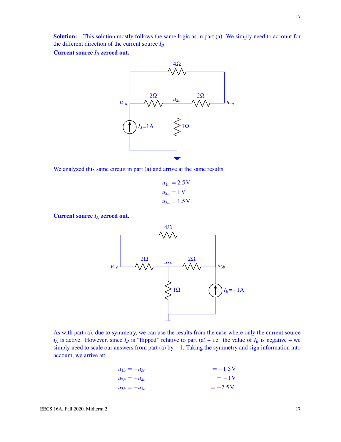Solution: This solution mostly follows the same logic as in part (a). We simply need to account for the different direction of the current source *IB*.

Current source *I<sup>B</sup>* zeroed out.



We analyzed this same circuit in part (a) and arrive at the same results:

$$
u_{1a} = 2.5 \text{ V}
$$
  

$$
u_{2a} = 1 \text{ V}
$$
  

$$
u_{3a} = 1.5 \text{ V}.
$$

Current source *I<sup>A</sup>* zeroed out.



As with part (a), due to symmetry, we can use the results from the case where only the current source *I*<sup>*A*</sup> is active. However, since *I*<sup>*B*</sup> is "flipped" relative to part (a) – i.e. the value of *I*<sup>*B*</sup> is negative – we simply need to scale our answers from part (a) by  $-1$ . Taking the symmetry and sign information into account, we arrive at:

$$
u_{1b} = -u_{3a} = -1.5 \text{ V}
$$
  
\n
$$
u_{2b} = -u_{2a} = -1 \text{ V}
$$
  
\n
$$
u_{3b} = -u_{1a} = -2.5 \text{ V}.
$$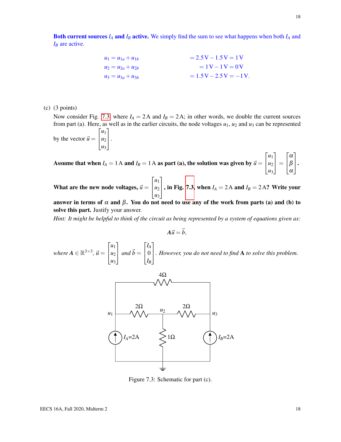$$
u_1 = u_{1a} + u_{1b} = 2.5 \text{ V} - 1.5 \text{ V} = 1 \text{ V} \n u_2 = u_{2a} + u_{2b} = 1 \text{ V} - 1 \text{ V} = 0 \text{ V} \n u_3 = u_{3a} + u_{3b} = 1.5 \text{ V} - 2.5 \text{ V} = -1 \text{ V}.
$$

(c) (3 points)

Now consider Fig. [7.3,](#page-17-0) where  $I_A = 2A$  and  $I_B = 2A$ ; in other words, we double the current sources from part (a). Here, as well as in the earlier circuits, the node voltages  $u_1$ ,  $u_2$  and  $u_3$  can be represented  $\sqrt{ }$ *u*1 1

by the vector  $\vec{u} =$  $\overline{1}$ *u*2 *u*3  $\vert \cdot$ 

Assume that when  $I_A = 1$  A and  $I_B = 1$  A as part (a), the solution was given by  $\vec{u} =$  $\sqrt{ }$  $\overline{1}$ *u*1 *u*2 *u*3 1  $\Big| =$  $\sqrt{ }$  $\overline{1}$ α β α 1  $\vert \cdot$ 

What are the new node voltages,  $\vec{u} =$  $\sqrt{ }$  $\overline{1}$ *u*1  $u_2$ *u*3 1  $\vert$ , in Fig. [7.3,](#page-17-0) when  $I_A = 2A$  and  $I_B = 2A$ ? Write your

answer in terms of  $\alpha$  and  $\beta$ . You do not need to use any of the work from parts (a) and (b) to solve this part. Justify your answer.

*Hint: It might be helpful to think of the circuit as being represented by a system of equations given as:*

$$
A\vec{u}=\vec{b},
$$

<span id="page-17-0"></span>*where*  $A \in \mathbb{R}^{3 \times 3}$ ,  $\vec{u} =$  $\sqrt{ }$  $\overline{1}$ *u*1 *u*2 *u*3 1  $\int$  *and*  $\vec{b}$  =  $\sqrt{ }$  $\overline{1}$ *IA* 0 *IB* 1 *. However, you do not need to find* <sup>A</sup> *to solve this problem.*



Figure 7.3: Schematic for part (c).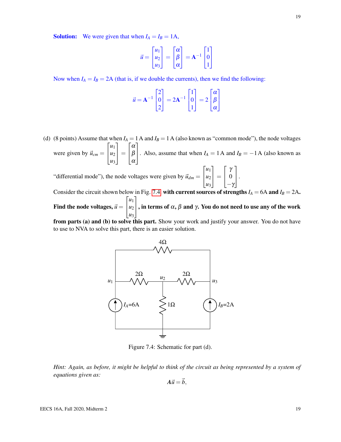**Solution:** We were given that when  $I_A = I_B = 1$ A,

$$
\vec{u} = \begin{bmatrix} u_1 \\ u_2 \\ u_3 \end{bmatrix} = \begin{bmatrix} \alpha \\ \beta \\ \alpha \end{bmatrix} = A^{-1} \begin{bmatrix} 1 \\ 0 \\ 1 \end{bmatrix}
$$

Now when  $I_A = I_B = 2A$  (that is, if we double the currents), then we find the following:

$$
\vec{u} = \mathbf{A}^{-1} \begin{bmatrix} 2 \\ 0 \\ 2 \end{bmatrix} = 2\mathbf{A}^{-1} \begin{bmatrix} 1 \\ 0 \\ 1 \end{bmatrix} = 2 \begin{bmatrix} \alpha \\ \beta \\ \alpha \end{bmatrix}
$$

(d) (8 points) Assume that when  $I_A = 1$  A and  $I_B = 1$  A (also known as "common mode"), the node voltages were given by  $\vec{u}_{cm} =$  $\sqrt{ }$  $\overline{1}$ *u*1 *u*2 *u*3 1  $\Big| =$  $\sqrt{ }$  $\overline{1}$ α β α 1 . Also, assume that when  $I_A = 1$  A and  $I_B = -1$  A (also known as "differential mode"), the node voltages were given by  $\vec{u}_{dm} =$  $\sqrt{ }$  $\overline{1}$ *u*1 *u*2 *u*3 1  $\Big| =$  $\sqrt{ }$  $\overline{1}$ γ 0  $-\gamma$ 1  $\vert \cdot$ Consider the circuit shown below in Fig. [7.4,](#page-18-0) with current sources of strengths  $I_A = 6A$  and  $I_B = 2A$ .

Find the node voltages,  $\vec{u}$   $=$  $\sqrt{ }$  $\overline{1}$ *u*1 *u*2 *u*3 1  $\vert$ , in terms of  $\alpha$ ,  $\beta$  and  $\gamma$ . You do not need to use any of the work

<span id="page-18-0"></span>from parts (a) and (b) to solve this part. Show your work and justify your answer. You do not have to use to NVA to solve this part, there is an easier solution.



Figure 7.4: Schematic for part (d).

*Hint: Again, as before, it might be helpful to think of the circuit as being represented by a system of equations given as:*

$$
A\vec{u}=\vec{b},
$$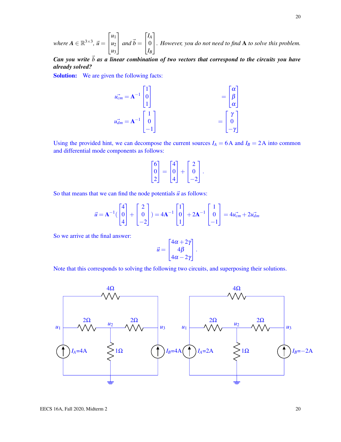*where*  $A \in \mathbb{R}^{3 \times 3}$ ,  $\vec{u} =$  $\sqrt{ }$  $\overline{1}$ *u*1 *u*2 *u*3 1  $\int$  *and*  $\vec{b}$  =  $\sqrt{ }$  $\overline{1}$ *IA* 0 *IB* 1 *. However, you do not need to find* <sup>A</sup> *to solve this problem.*

 $Can$  *you write*  $\vec{b}$  *as a linear combination of two vectors that correspond to the circuits you have already solved?*

Solution: We are given the following facts:

$$
\vec{u_{cm}} = \mathbf{A}^{-1} \begin{bmatrix} 1 \\ 0 \\ 1 \end{bmatrix} = \begin{bmatrix} \alpha \\ \beta \\ \alpha \end{bmatrix}
$$

$$
\vec{u_{dm}} = \mathbf{A}^{-1} \begin{bmatrix} 1 \\ 0 \\ -1 \end{bmatrix} = \begin{bmatrix} \gamma \\ 0 \\ -\gamma \end{bmatrix}
$$

Using the provided hint, we can decompose the current sources  $I_A = 6A$  and  $I_B = 2A$  into common and differential mode components as follows:

$$
\begin{bmatrix} 6 \\ 0 \\ 2 \end{bmatrix} = \begin{bmatrix} 4 \\ 0 \\ 4 \end{bmatrix} + \begin{bmatrix} 2 \\ 0 \\ -2 \end{bmatrix}.
$$

So that means that we can find the node potentials  $\vec{u}$  as follows:

$$
\vec{u} = \mathbf{A}^{-1} \begin{pmatrix} 4 \\ 0 \\ 4 \end{pmatrix} + \begin{bmatrix} 2 \\ 0 \\ -2 \end{bmatrix} = 4\mathbf{A}^{-1} \begin{bmatrix} 1 \\ 0 \\ 1 \end{bmatrix} + 2\mathbf{A}^{-1} \begin{bmatrix} 1 \\ 0 \\ -1 \end{bmatrix} = 4u_{cm}^2 + 2u_{dm}^2
$$

So we arrive at the final answer:

$$
\vec{u} = \begin{bmatrix} 4\alpha + 2\gamma \\ 4\beta \\ 4\alpha - 2\gamma \end{bmatrix}.
$$

Note that this corresponds to solving the following two circuits, and superposing their solutions.

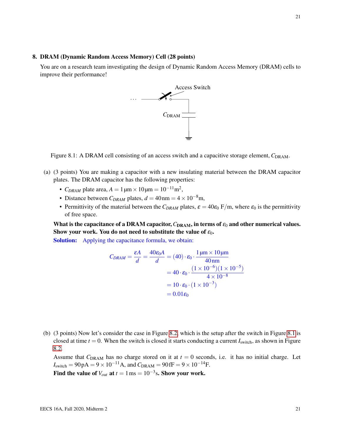#### 8. DRAM (Dynamic Random Access Memory) Cell (28 points)

<span id="page-20-0"></span>You are on a research team investigating the design of Dynamic Random Access Memory (DRAM) cells to improve their performance!



Figure 8.1: A DRAM cell consisting of an access switch and a capacitive storage element,  $C_{\text{DRAM}}$ .

- (a) (3 points) You are making a capacitor with a new insulating material between the DRAM capacitor plates. The DRAM capacitor has the following properties:
	- *C<sub>DRAM</sub>* plate area,  $A = 1 \,\text{\mu m} \times 10 \,\text{\mu m} = 10^{-11} \text{m}^2$ ,
	- Distance between  $C_{DRAM}$  plates,  $d = 40$  nm =  $4 \times 10^{-8}$ m,
	- Permittivity of the material between the  $C_{DRAM}$  plates,  $\varepsilon = 40\varepsilon_0$  F/m, where  $\varepsilon_0$  is the permittivity of free space.

What is the capacitance of a DRAM capacitor,  $C_{\text{DRAM}}$ , in terms of  $\varepsilon_0$  and other numerical values. Show your work. You do not need to substitute the value of  $\varepsilon_0$ .

Solution: Applying the capacitance formula, we obtain:

$$
C_{DRAM} = \frac{\varepsilon A}{d} = \frac{40\varepsilon_0 A}{d} = (40) \cdot \varepsilon_0 \cdot \frac{1 \mu \text{m} \times 10 \mu \text{m}}{40 \text{ nm}}
$$
  
= 40 \cdot \varepsilon\_0 \cdot \frac{(1 \times 10^{-6})(1 \times 10^{-5})}{4 \times 10^{-8}}  
= 10 \cdot \varepsilon\_0 \cdot (1 \times 10^{-3})  
= 0.01\varepsilon\_0

(b) (3 points) Now let's consider the case in Figure [8.2,](#page-21-0) which is the setup after the switch in Figure [8.1](#page-20-0) is closed at time  $t = 0$ . When the switch is closed it starts conducting a current  $I<sub>switch</sub>$ , as shown in Figure [8.2.](#page-21-0)

Assume that  $C_{\text{DRAM}}$  has no charge stored on it at  $t = 0$  seconds, i.e. it has no initial charge. Let  $I_{switch} = 90 pA = 9 \times 10^{-11} A$ , and  $C_{DRAM} = 90 fF = 9 \times 10^{-14} F$ .

Find the value of  $V_{out}$  at  $t = 1 \,\text{ms} = 10^{-3}\text{s}$ . Show your work.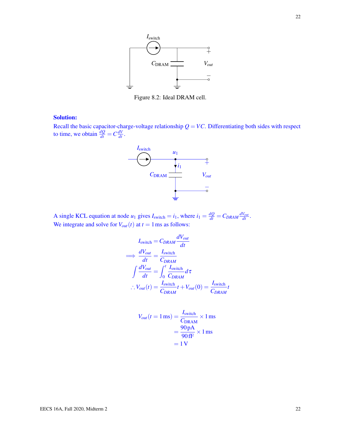<span id="page-21-0"></span>

Figure 8.2: Ideal DRAM cell.

#### Solution:

Recall the basic capacitor-charge-voltage relationship  $Q = VC$ . Differentiating both sides with respect to time, we obtain  $\frac{dQ}{dt} = C \frac{dV}{dt}$ .



A single KCL equation at node  $u_1$  gives  $I_{switch} = i_1$ , where  $i_1 = \frac{dQ}{dt} = C_{DRAM} \frac{dV_{out}}{dt}$ . We integrate and solve for  $V_{out}(t)$  at  $t = 1$  ms as follows:

$$
I_{\text{switch}} = C_{DRAM} \frac{dV_{out}}{dt}
$$
  
\n
$$
\implies \frac{dV_{out}}{dt} = \frac{I_{\text{switch}}}{C_{DRAM}}
$$
  
\n
$$
\int \frac{dV_{out}}{dt} = \int_{0}^{t} \frac{I_{\text{switch}}}{C_{DRAM}} d\tau
$$
  
\n
$$
\therefore V_{out}(t) = \frac{I_{\text{switch}}}{C_{DRAM}} t + V_{out}(0) = \frac{I_{\text{switch}}}{C_{DRAM}} t
$$

$$
V_{out}(t = 1 \,\text{ms}) = \frac{I_{\text{switch}}}{C_{\text{DRAM}}} \times 1 \,\text{ms}
$$

$$
= \frac{90 \,\text{pA}}{90 \,\text{fF}} \times 1 \,\text{ms}
$$

$$
= 1 \,\text{V}
$$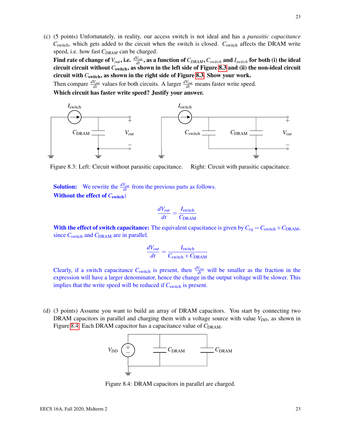(c) (5 points) Unfortunately, in reality, our access switch is not ideal and has a *parasitic capacitance*  $C_{\text{switch}}$ , which gets added to the circuit when the switch is closed.  $C_{\text{switch}}$  affects the DRAM write speed, i.e. how fast *CDRAM* can be charged.

Find rate of change of  $V_{out}$ , i.e.  $\frac{dV_{out}}{dt}$ , as a function of  $C_{DRAM}$ ,  $C_{switch}$  and  $I_{switch}$  for both (i) the ideal circuit circuit without *C*switch, as shown in the left side of Figure [8.3](#page-22-0) and (ii) the non-ideal circuit circuit with *C*switch, as shown in the right side of Figure [8.3.](#page-22-0) Show your work.

Then compare  $\frac{dV_{out}}{dt}$  values for both circuits. A larger  $\frac{dV_{out}}{dt}$  means faster write speed.

Which circuit has faster write speed? Justify your answer.

<span id="page-22-0"></span>

Figure 8.3: Left: Circuit without parasitic capacitance. Right: Circuit with parasitic capacitance.

**Solution:** We rewrite the  $\frac{dV_{out}}{dt}$  from the previous parts as follows. Without the effect of  $C_{\text{switch}}$ :

$$
\frac{dV_{out}}{dt} = \frac{I_{\text{switch}}}{C_{\text{DRAM}}}
$$

With the effect of switch capacitance: The equivalent capacitance is given by  $C_{eq} = C_{\text{switch}} + C_{\text{DRAM}}$ , since  $C_{\text{switch}}$  and  $C_{\text{DRAM}}$  are in parallel.

$$
\frac{dV_{out}}{dt} = \frac{I_{\text{switch}}}{C_{\text{switch}} + C_{\text{DRAM}}}
$$

Clearly, if a switch capacitance  $C_{\text{switch}}$  is present, then  $\frac{dV_{out}}{dt}$  will be smaller as the fraction in the expression will have a larger denominator, hence the change in the output voltage will be slower. This implies that the write speed will be reduced if  $C_{\text{switch}}$  is present.

<span id="page-22-1"></span>(d) (3 points) Assume you want to build an array of DRAM capacitors. You start by connecting two DRAM capacitors in parallel and charging them with a voltage source with value  $V_{DD}$ , as shown in Figure [8.4.](#page-22-1) Each DRAM capacitor has a capacitance value of  $C_{\text{DRAM}}$ .



Figure 8.4: DRAM capacitors in parallel are charged.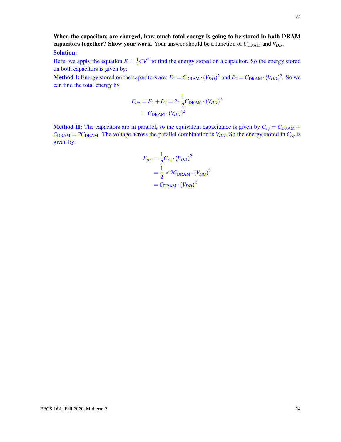When the capacitors are charged, how much total energy is going to be stored in both DRAM capacitors together? Show your work. Your answer should be a function of  $C_{\text{DRAM}}$  and  $V_{DD}$ . Solution:

Here, we apply the equation  $E = \frac{1}{2}$  $\frac{1}{2}CV^2$  to find the energy stored on a capacitor. So the energy stored on both capacitors is given by:

**Method I:** Energy stored on the capacitors are:  $E_1 = C_{\text{DRAM}} \cdot (V_{DD})^2$  and  $E_2 = C_{\text{DRAM}} \cdot (V_{DD})^2$ . So we can find the total energy by

$$
E_{tot} = E_1 + E_2 = 2 \cdot \frac{1}{2} C_{\text{DRAM}} \cdot (V_{DD})^2
$$

$$
= C_{\text{DRAM}} \cdot (V_{DD})^2
$$

**Method II:** The capacitors are in parallel, so the equivalent capacitance is given by  $C_{eq} = C_{\text{DRAM}} + C_{eq}$  $C_{\text{DRAM}} = 2C_{\text{DRAM}}$ . The voltage across the parallel combination is  $V_{DD}$ . So the energy stored in  $C_{eq}$  is given by:

$$
E_{tot} = \frac{1}{2} C_{eq} \cdot (V_{DD})^2
$$
  
=  $\frac{1}{2} \times 2C_{DRAM} \cdot (V_{DD})^2$   
=  $C_{DRAM} \cdot (V_{DD})^2$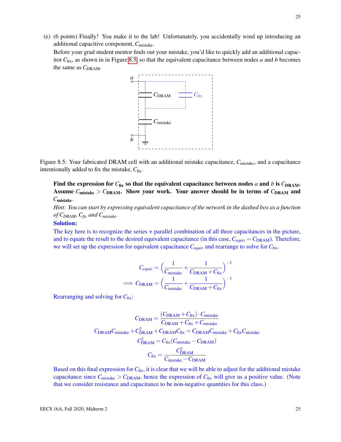(e) (6 points) Finally! You make it to the lab! Unfortunately, you accidentally wind up introducing an additional capacitive component, *C*mistake.

<span id="page-24-0"></span>Before your grad student mentor finds out your mistake, you'd like to quickly add an additional capacitor *C*fix, as shown in in Figure [8.5,](#page-24-0) so that the equivalent capacitance between nodes *a* and *b* becomes the same as  $C_{\text{DRAM}}$ .



Figure 8.5: Your fabricated DRAM cell with an additional mistake capacitance, C<sub>mistake</sub>, and a capacitance intentionally added to fix the mistake,  $C_{fix}$ .

Find the expression for  $C_{fix}$  so that the equivalent capacitance between nodes *a* and *b* is  $C_{\text{DRAM}}$ . Assume  $C_{\text{mistake}} > C_{\text{DRAM}}$ . Show your work. Your answer should be in terms of  $C_{\text{DRAM}}$  and *C*mistake.

*Hint: You can start by expressing equivalent capacitance of the network in the dashed box as a function of CDRAM, Cfix and Cmistake.*

#### Solution:

The key here is to recognize the series + parallel combination of all three capacitances in the picture, and to equate the result to the desired equivalent capacitance (in this case,  $C_{equiv} = C_{\text{DRAM}}$ ). Therefore, we will set up the expression for equivalent capacitance  $C_{equiv}$  and rearrange to solve for  $C_{fix}$ .

$$
C_{equiv} = \left(\frac{1}{C_{\text{mistake}}} + \frac{1}{C_{\text{DRAM}} + C_{\text{fix}}}\right)^{-1}
$$

$$
\implies C_{\text{DRAM}} = \left(\frac{1}{C_{\text{mistake}}} + \frac{1}{C_{\text{DRAM}} + C_{\text{fix}}}\right)^{-1}
$$

Rearranging and solving for  $C_{fix}$ :

$$
C_{\text{DRAM}} = \frac{(C_{\text{DRAM}} + C_{\text{fix}}) \cdot C_{\text{mistake}}}{C_{\text{DRAM}} + C_{\text{fix}} + C_{\text{mistake}}}
$$

$$
C_{\text{DRAM}} = \frac{C_{\text{DRAM}} + C_{\text{fix}} + C_{\text{mkMake}}}{C_{\text{DRAM}}^2} = C_{\text{DKAM}} C_{\text{mistake}} + C_{\text{fix}} C_{\text{mistake}}
$$

$$
C_{\text{DRAM}}^2 = C_{\text{fix}} (C_{\text{mistake}} - C_{\text{DRAM}})
$$

$$
C_{\text{fix}} = \frac{C_{\text{DRAM}}^2}{C_{\text{mistake}} - C_{\text{DRAM}}}
$$

Based on this final expression for  $C_{fix}$ , it is clear that we will be able to adjust for the additional mistake capacitance since  $C_{\text{mistake}} > C_{\text{DRAM}}$ , hence the expression of  $C_{\text{fix}}$  will give us a positive value. (Note that we consider resistance and capacitance to be non-negative quantities for this class.)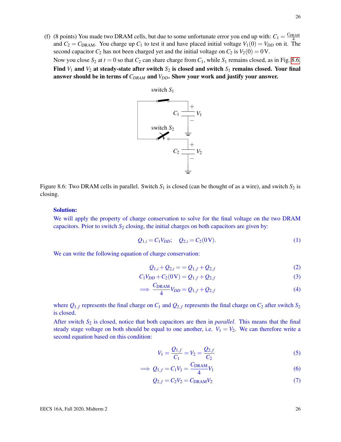<span id="page-25-0"></span>(f) (8 points) You made two DRAM cells, but due to some unfortunate error you end up with:  $C_1 = \frac{C_{\text{DRAM}}}{4}$ and  $C_2 = C_{\text{DRAM}}$ . You charge up  $C_1$  to test it and have placed initial voltage  $V_1(0) = V_{DD}$  on it. The second capacitor  $C_2$  has not been charged yet and the initial voltage on  $C_2$  is  $V_2(0) = 0$  V. Now you close  $S_2$  at  $t = 0$  so that  $C_2$  can share charge from  $C_1$ , while  $S_1$  remains closed, as in Fig. [8.6.](#page-25-0) Find  $V_1$  and  $V_2$  at steady-state after switch  $S_2$  is closed and switch  $S_1$  remains closed. Your final answer should be in terms of *CDRAM* and *VDD*. Show your work and justify your answer.



Figure 8.6: Two DRAM cells in parallel. Switch  $S_1$  is closed (can be thought of as a wire), and switch  $S_2$  is closing.

#### Solution:

We will apply the property of charge conservation to solve for the final voltage on the two DRAM capacitors. Prior to switch  $S_2$  closing, the initial charges on both capacitors are given by:

$$
Q_{1,i} = C_1 V_{DD}; \quad Q_{2,i} = C_2 (0V). \tag{1}
$$

We can write the following equation of charge conservation:

<span id="page-25-3"></span>
$$
Q_{1,i} + Q_{2,i} = Q_{1,f} + Q_{2,f}
$$
 (2)

$$
C_1V_{DD} + C_2(0\,\text{V}) = Q_{1,f} + Q_{2,f}
$$
\n(3)

$$
\implies \frac{C_{\text{DRAM}}}{4}V_{DD} = Q_{1,f} + Q_{2,f} \tag{4}
$$

where  $Q_{1,f}$  represents the final charge on  $C_1$  and  $Q_{2,f}$  represents the final charge on  $C_2$  after switch  $S_2$ is closed.

After switch *S*<sup>2</sup> is closed, notice that both capacitors are then in *parallel*. This means that the final steady stage voltage on both should be equal to one another, i.e.  $V_1 = V_2$ . We can therefore write a second equation based on this condition:

<span id="page-25-2"></span><span id="page-25-1"></span>
$$
V_1 = \frac{Q_{1,f}}{C_1} = V_2 = \frac{Q_{2,f}}{C_2}
$$
\n(5)

$$
\implies Q_{1,f} = C_1 V_1 = \frac{C_{\text{DRAM}}}{4} V_1 \tag{6}
$$

$$
Q_{2,f} = C_2 V_2 = C_{\text{DRAM}} V_2 \tag{7}
$$